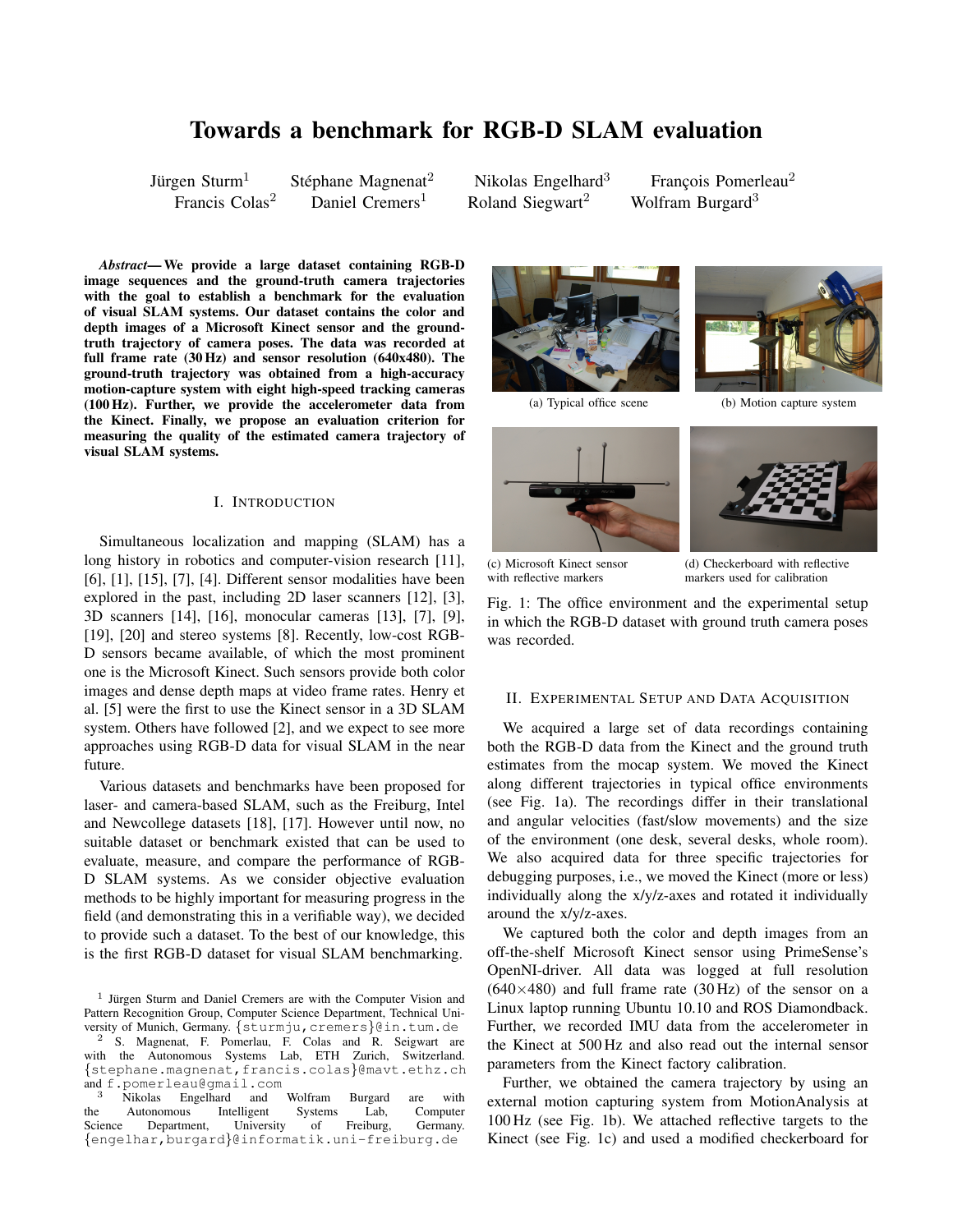# Towards a benchmark for RGB-D SLAM evaluation

Jürgen Sturm $<sup>1</sup>$ </sup>

Stéphane Magnenat $2$ Francis Colas<sup>2</sup> Daniel Cremers<sup>1</sup> Roland Siegwart<sup>2</sup> Wolfram Burgard<sup>3</sup>

Nikolas Engelhard<sup>3</sup> Francois Pomerleau<sup>2</sup>

*Abstract*— We provide a large dataset containing RGB-D image sequences and the ground-truth camera trajectories with the goal to establish a benchmark for the evaluation of visual SLAM systems. Our dataset contains the color and depth images of a Microsoft Kinect sensor and the groundtruth trajectory of camera poses. The data was recorded at full frame rate (30 Hz) and sensor resolution (640x480). The ground-truth trajectory was obtained from a high-accuracy motion-capture system with eight high-speed tracking cameras (100 Hz). Further, we provide the accelerometer data from the Kinect. Finally, we propose an evaluation criterion for measuring the quality of the estimated camera trajectory of visual SLAM systems.

## I. INTRODUCTION

Simultaneous localization and mapping (SLAM) has a long history in robotics and computer-vision research [11], [6], [1], [15], [7], [4]. Different sensor modalities have been explored in the past, including 2D laser scanners [12], [3], 3D scanners [14], [16], monocular cameras [13], [7], [9], [19], [20] and stereo systems [8]. Recently, low-cost RGB-D sensors became available, of which the most prominent one is the Microsoft Kinect. Such sensors provide both color images and dense depth maps at video frame rates. Henry et al. [5] were the first to use the Kinect sensor in a 3D SLAM system. Others have followed [2], and we expect to see more approaches using RGB-D data for visual SLAM in the near future.

Various datasets and benchmarks have been proposed for laser- and camera-based SLAM, such as the Freiburg, Intel and Newcollege datasets [18], [17]. However until now, no suitable dataset or benchmark existed that can be used to evaluate, measure, and compare the performance of RGB-D SLAM systems. As we consider objective evaluation methods to be highly important for measuring progress in the field (and demonstrating this in a verifiable way), we decided to provide such a dataset. To the best of our knowledge, this is the first RGB-D dataset for visual SLAM benchmarking.

<sup>1</sup> Jürgen Sturm and Daniel Cremers are with the Computer Vision and Pattern Recognition Group, Computer Science Department, Technical University of Munich, Germany. {sturmju, cremers}@in.tum.de <sup>2</sup> S. Magnenat, F. Pomerlau, F. Colas and R. Seigwart are with the Autonomous Systems Lab, ETH Zurich, Switzerland.

{stephane.magnenat,francis.colas}@mavt.ethz.ch and f.pomerleau@gmail.com

<sup>3</sup> Nikolas Engelhard and Wolfram Burgard are with <br>e Autonomous Intelligent Systems Lab, Computer the Autonomous Intelligent Systems Lab, Computer<br>Science Department, University of Freiburg, Germany. Science Department, University of Freiburg, Germany. {engelhar,burgard}@informatik.uni-freiburg.de









(c) Microsoft Kinect sensor with reflective markers

(d) Checkerboard with reflective markers used for calibration

Fig. 1: The office environment and the experimental setup in which the RGB-D dataset with ground truth camera poses was recorded.

#### II. EXPERIMENTAL SETUP AND DATA ACQUISITION

We acquired a large set of data recordings containing both the RGB-D data from the Kinect and the ground truth estimates from the mocap system. We moved the Kinect along different trajectories in typical office environments (see Fig. 1a). The recordings differ in their translational and angular velocities (fast/slow movements) and the size of the environment (one desk, several desks, whole room). We also acquired data for three specific trajectories for debugging purposes, i.e., we moved the Kinect (more or less) individually along the x/y/z-axes and rotated it individually around the x/y/z-axes.

We captured both the color and depth images from an off-the-shelf Microsoft Kinect sensor using PrimeSense's OpenNI-driver. All data was logged at full resolution  $(640\times480)$  and full frame rate  $(30 \text{ Hz})$  of the sensor on a Linux laptop running Ubuntu 10.10 and ROS Diamondback. Further, we recorded IMU data from the accelerometer in the Kinect at 500 Hz and also read out the internal sensor parameters from the Kinect factory calibration.

Further, we obtained the camera trajectory by using an external motion capturing system from MotionAnalysis at 100 Hz (see Fig. 1b). We attached reflective targets to the Kinect (see Fig. 1c) and used a modified checkerboard for